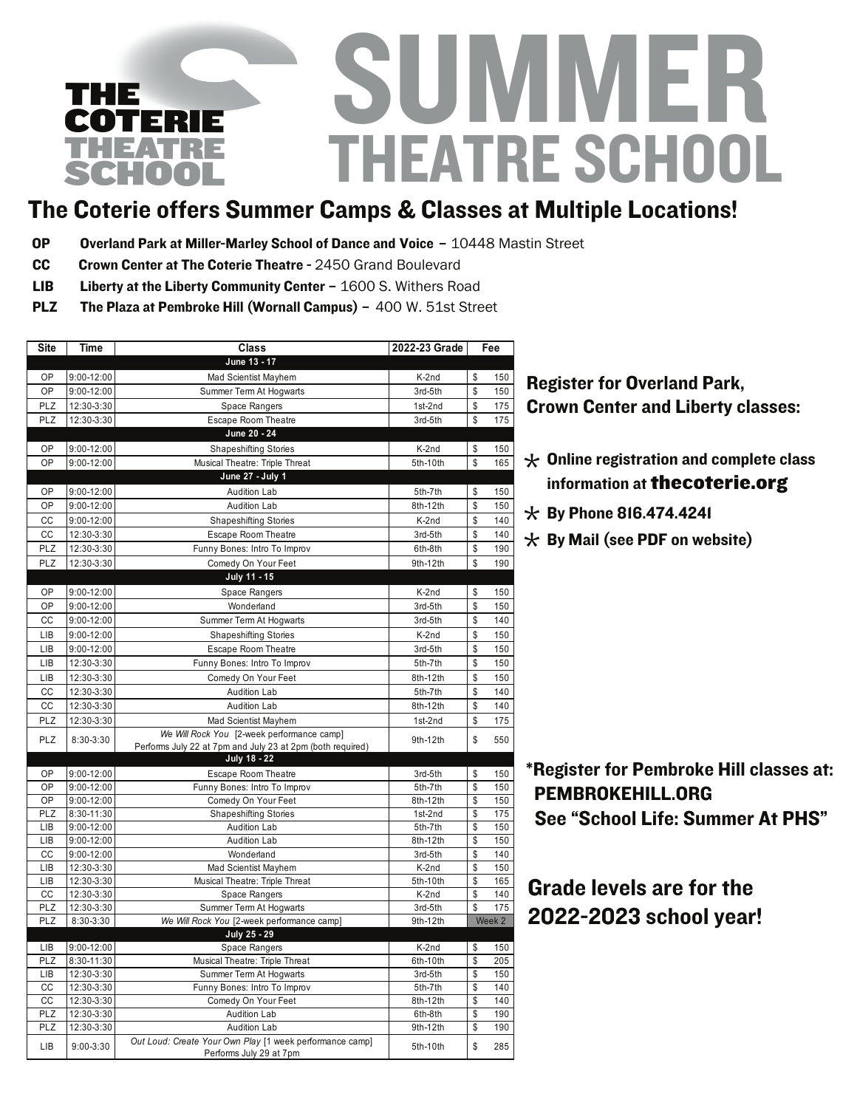## U M M EF THEATRE SCHOOL THE COTERIE THEATRE SCHOOL

## The Coterie offers Summer Camps & Classes at Multiple Locations!

- OP Overland Park at Miller-Marley School of Dance and Voice 10448 Mastin Street
- CC Crown Center at The Coterie Theatre 2450 Grand Boulevard
- Liberty at the Liberty Community Center 1600 S. Withers Road LIB
- The Plaza at Pembroke Hill (Wornall Campus) 400 W. 51st Street PLZ

| <b>Site</b> | <b>Time</b>              | <b>Class</b>                                               | 2022-23 Grade     | Fee      |            |
|-------------|--------------------------|------------------------------------------------------------|-------------------|----------|------------|
|             |                          | June 13 - 17                                               |                   |          |            |
| OP          | $9:00 - 12:00$           | Mad Scientist Mayhem                                       | K-2nd             | \$       | 150        |
| OP          | 9:00-12:00               | Summer Term At Hogwarts                                    | 3rd-5th           | \$       | 150        |
| PLZ         | 12:30-3:30               | <b>Space Rangers</b>                                       | 1st-2nd           | \$       | 175        |
| PLZ         | 12:30-3:30               | Escape Room Theatre                                        | 3rd-5th           | \$       | 175        |
|             |                          | June 20 - 24                                               |                   |          |            |
| OP          | 9:00-12:00               | <b>Shapeshifting Stories</b>                               | K-2nd             | \$       | 150        |
| OP          | 9:00-12:00               | Musical Theatre: Triple Threat                             | 5th-10th          | \$       | 165        |
|             |                          | June 27 - July 1                                           |                   |          |            |
| OP          | 9:00-12:00               | Audition Lab                                               | 5th-7th           | \$       | 150        |
| OP          | 9:00-12:00               | <b>Audition Lab</b>                                        | 8th-12th          | \$       | 150        |
| CC          | 9:00-12:00               | <b>Shapeshifting Stories</b>                               | K-2nd             | \$       | 140        |
| CC          | 12:30-3:30               | Escape Room Theatre                                        | 3rd-5th           | \$       | 140        |
| PLZ         | 12:30-3:30               | Funny Bones: Intro To Improv                               | 6th-8th           | \$       | 190        |
| PLZ         | 12:30-3:30               | Comedy On Your Feet                                        | 9th-12th          | \$       | 190        |
|             |                          | July 11 - 15                                               |                   |          |            |
| OP          | 9:00-12:00               | Space Rangers                                              | K-2nd             | \$       | 150        |
| OP          | 9:00-12:00               | Wonderland                                                 | 3rd-5th           | \$       | 150        |
| CC          | 9:00-12:00               | Summer Term At Hogwarts                                    | 3rd-5th           | \$       | 140        |
| LIB         | 9:00-12:00               | <b>Shapeshifting Stories</b>                               | K-2nd             | \$       | 150        |
| LIB         | 9:00-12:00               | <b>Escape Room Theatre</b>                                 | 3rd-5th           | \$       | 150        |
| LIB         | 12:30-3:30               | Funny Bones: Intro To Improv                               | 5th-7th           | \$       | 150        |
| LIB         | 12:30-3:30               | Comedy On Your Feet                                        | 8th-12th          | \$       | 150        |
| CC          | 12:30-3:30               | <b>Audition Lab</b>                                        | 5th-7th           | \$       | 140        |
| CC          | 12:30-3:30               | <b>Audition Lab</b>                                        | 8th-12th          | \$       | 140        |
| PLZ         |                          | Mad Scientist Mayhem                                       | 1st-2nd           | \$       | 175        |
|             | 12:30-3:30               | We Will Rock You [2-week performance camp]                 |                   |          |            |
| PLZ         | 8:30-3:30                | Performs July 22 at 7pm and July 23 at 2pm (both required) | 9th-12th          | \$       | 550        |
|             |                          | July 18 - 22                                               |                   |          |            |
| OP          | 9:00-12:00               | <b>Escape Room Theatre</b>                                 | 3rd-5th           | \$       | 150        |
| OP          | 9:00-12:00               | Funny Bones: Intro To Improv                               | 5th-7th           | \$       | 150        |
| OP          | 9:00-12:00               | Comedy On Your Feet                                        | 8th-12th          | \$       | 150        |
| PLZ         | 8:30-11:30               | <b>Shapeshifting Stories</b>                               | 1st-2nd           | \$       | 175        |
| LIB         | 9:00-12:00               | <b>Audition Lab</b>                                        | 5th-7th           | \$       | 150        |
| LIB         | 9:00-12:00               | <b>Audition Lab</b>                                        | 8th-12th          | \$       | 150        |
| CC          | 9:00-12:00               | Wonderland                                                 | 3rd-5th           | \$       | 140        |
| LIB         | 12:30-3:30               | Mad Scientist Mayhem                                       | K-2nd             | \$       | 150        |
| LIB         | 12:30-3:30               | Musical Theatre: Triple Threat                             | 5th-10th          | \$       | 165        |
| CC          | 12:30-3:30               | <b>Space Rangers</b>                                       | K-2nd             | \$       | 140        |
| PLZ         | 12:30-3:30               | Summer Term At Hogwarts                                    | 3rd-5th           | \$       | 175        |
| PLZ         | 8:30-3:30                | We Will Rock You [2-week performance camp]                 | 9th-12th          |          | Week 2     |
|             |                          | July 25 - 29                                               |                   |          |            |
| LIB<br>PLZ  | 9:00-12:00<br>8:30-11:30 | <b>Space Rangers</b>                                       | K-2nd<br>6th-10th | \$<br>\$ | 150<br>205 |
| LIB         | 12:30-3:30               | Musical Theatre: Triple Threat<br>Summer Term At Hogwarts  | 3rd-5th           | \$       | 150        |
| CC          | 12:30-3:30               | Funny Bones: Intro To Improv                               | 5th-7th           | \$       | 140        |
| cc          | 12:30-3:30               | Comedy On Your Feet                                        | 8th-12th          | \$       | 140        |
| PLZ         | 12:30-3:30               | <b>Audition Lab</b>                                        | 6th-8th           | \$       | 190        |
| PLZ         | 12:30-3:30               | <b>Audition Lab</b>                                        | 9th-12th          | \$       | 190        |
|             |                          | Out Loud: Create Your Own Play [1 week performance camp]   |                   |          |            |
| LIB         | $9:00 - 3:30$            | Performs July 29 at 7pm                                    | 5th-10th          | \$       | 285        |

#### **Register for Overland Park, Crown Center and Liberty classes: @@#\$#@)/A2#@(2;()5#B8C7#D)\*2=#E'<=5#?\*2:\*:#@&;+#%!**

- $\star$  Online registration and complete class<br>information at **the coterie ors** information at thecoterie.org
- $\star$  By Phone 816.474.4241
- $\star$  By Mail (see PDF on website)

\*Register for Pembroke Hill classes at: PEMBROKEHILL.ORG See "School Life: Summer At PHS"

Grade levels are for the 2022-2023 school year!